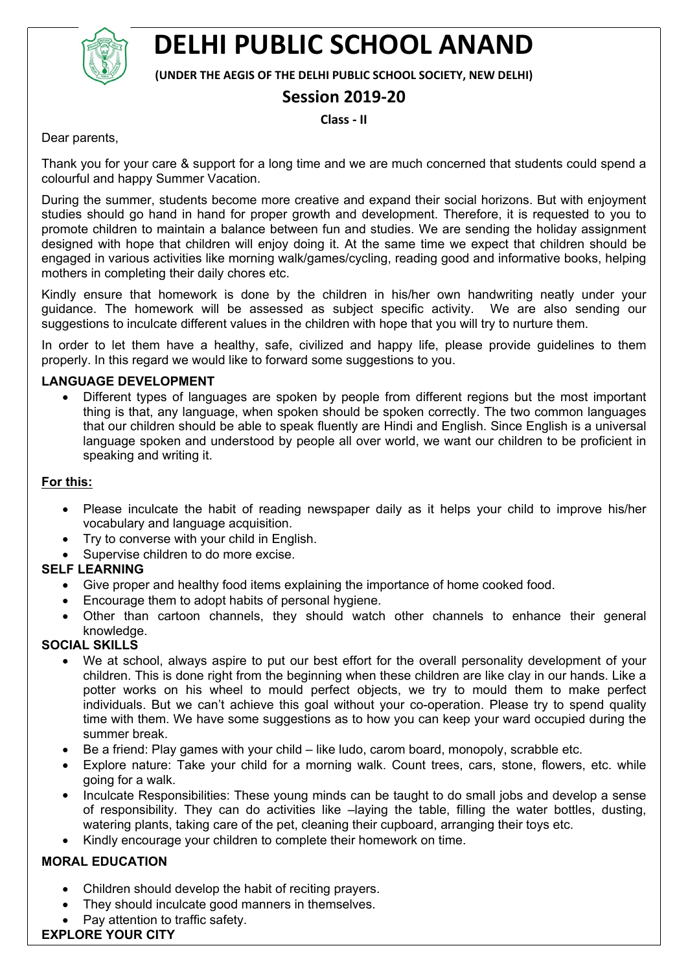

# **DELHI PUBLIC SCHOOL ANAND**

**(UNDER THE AEGIS OF THE DELHI PUBLIC SCHOOL SOCIETY, NEW DELHI)**

# **Session 2019-20**

**Class - II**

Dear parents,

Thank you for your care & support for a long time and we are much concerned that students could spend a colourful and happy Summer Vacation.

During the summer, students become more creative and expand their social horizons. But with enjoyment studies should go hand in hand for proper growth and development. Therefore, it is requested to you to promote children to maintain a balance between fun and studies. We are sending the holiday assignment designed with hope that children will enjoy doing it. At the same time we expect that children should be engaged in various activities like morning walk/games/cycling, reading good and informative books, helping mothers in completing their daily chores etc.

Kindly ensure that homework is done by the children in his/her own handwriting neatly under your guidance. The homework will be assessed as subject specific activity. We are also sending our suggestions to inculcate different values in the children with hope that you will try to nurture them.

In order to let them have a healthy, safe, civilized and happy life, please provide guidelines to them properly. In this regard we would like to forward some suggestions to you.

# **LANGUAGE DEVELOPMENT**

 Different types of languages are spoken by people from different regions but the most important thing is that, any language, when spoken should be spoken correctly. The two common languages that our children should be able to speak fluently are Hindi and English. Since English is a universal language spoken and understood by people all over world, we want our children to be proficient in speaking and writing it.

#### **For this:**

- Please inculcate the habit of reading newspaper daily as it helps your child to improve his/her vocabulary and language acquisition.
- Try to converse with your child in English.
- Supervise children to do more excise.

# **SELF LEARNING**

- Give proper and healthy food items explaining the importance of home cooked food.
- Encourage them to adopt habits of personal hygiene.
- Other than cartoon channels, they should watch other channels to enhance their general knowledge.

#### **SOCIAL SKILLS**

- We at school, always aspire to put our best effort for the overall personality development of your children. This is done right from the beginning when these children are like clay in our hands. Like a potter works on his wheel to mould perfect objects, we try to mould them to make perfect individuals. But we can't achieve this goal without your co-operation. Please try to spend quality time with them. We have some suggestions as to how you can keep your ward occupied during the summer break.
- Be a friend: Play games with your child like ludo, carom board, monopoly, scrabble etc.
- Explore nature: Take your child for a morning walk. Count trees, cars, stone, flowers, etc. while going for a walk.
- Inculcate Responsibilities: These young minds can be taught to do small jobs and develop a sense of responsibility. They can do activities like –laying the table, filling the water bottles, dusting, watering plants, taking care of the pet, cleaning their cupboard, arranging their toys etc.
- Kindly encourage your children to complete their homework on time.

# **MORAL EDUCATION**

- Children should develop the habit of reciting prayers.
- They should inculcate good manners in themselves.
- Pay attention to traffic safety.

# **EXPLORE YOUR CITY**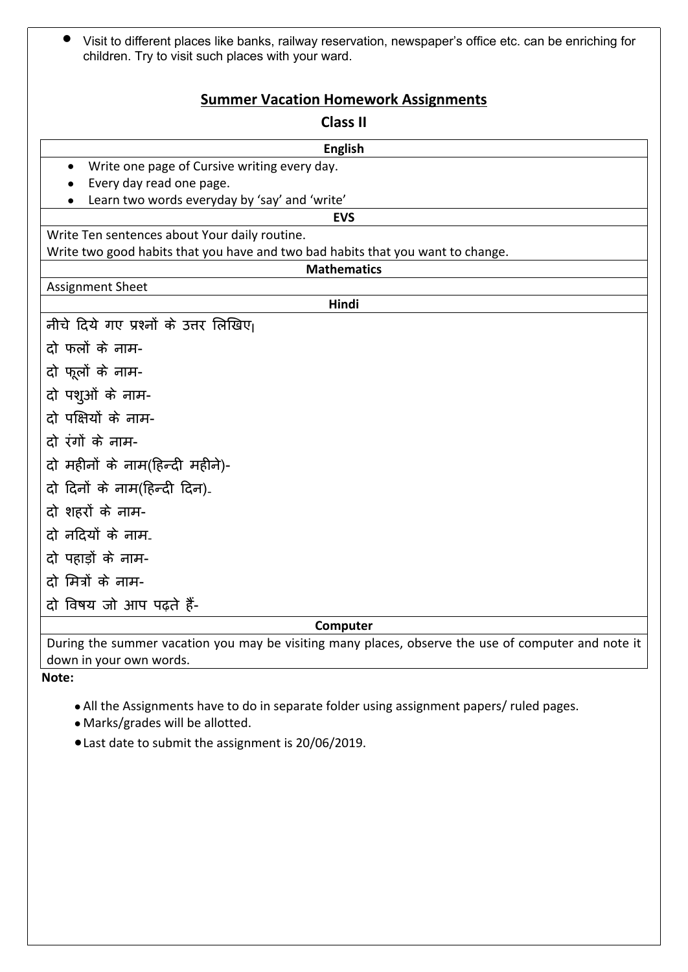| • Visit to different places like banks, railway reservation, newspaper's office etc. can be enriching for |
|-----------------------------------------------------------------------------------------------------------|
| children. Try to visit such places with your ward.                                                        |

# **Summer Vacation Homework Assignments**

# **Class II English** Write one page of Cursive writing every day. • Every day read one page. Learn two words everyday by 'say' and 'write' **EVS** Write Ten sentences about Your daily routine. Write two good habits that you have and two bad habits that you want to change. **Mathematics** Assignment Sheet **Hindi** नीचे दिये गए प्रश्नों के उत्तर लिखिए। दो फलों के नाम-दो फुलों के नाम-दो पशुओं के नाम-दो पक्षियों के नाम-दो रंगों के नाम-दो महीनों के नाम(हिन्दी महीने)-दो दिनों के नाम(हिन्दी दिन)-दो शहरों के नाम-दो नदियों के नाम-दो पहाड़ों के नाम-दो मित्रों के नाम-दो वषय जो आप पढ़ते ह-

**Computer**

During the summer vacation you may be visiting many places, observe the use of computer and note it down in your own words.

**Note:** 

All the Assignments have to do in separate folder using assignment papers/ ruled pages.

- Marks/grades will be allotted.
- Last date to submit the assignment is 20/06/2019.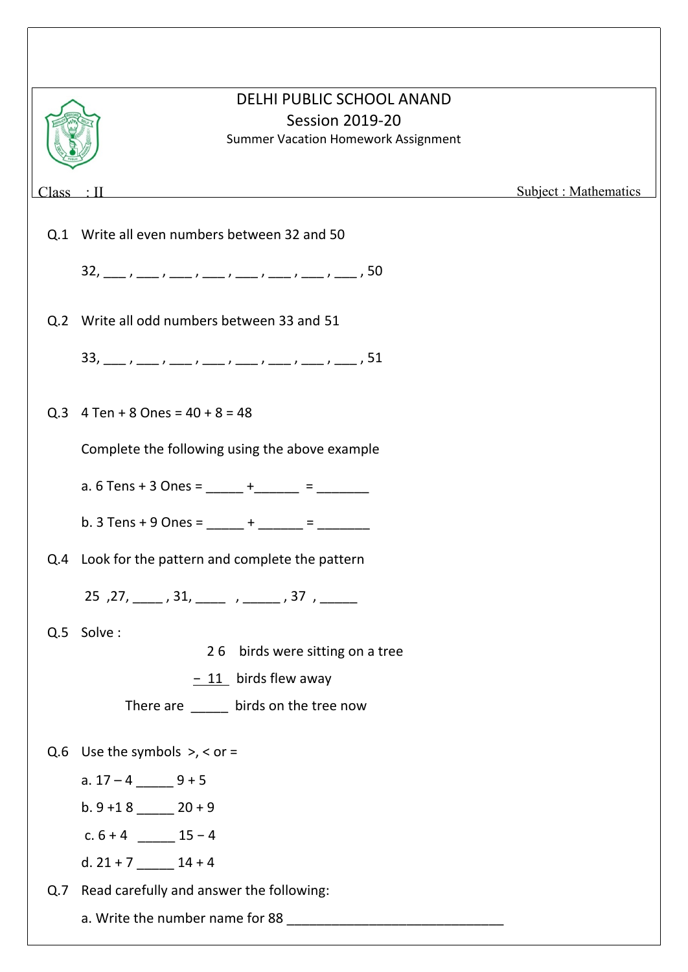|             | DELHI PUBLIC SCHOOL ANAND<br><b>Session 2019-20</b><br><b>Summer Vacation Homework Assignment</b>                                                                                                                                                                                                                                                                                                                                                                                                                  |                       |
|-------------|--------------------------------------------------------------------------------------------------------------------------------------------------------------------------------------------------------------------------------------------------------------------------------------------------------------------------------------------------------------------------------------------------------------------------------------------------------------------------------------------------------------------|-----------------------|
| $Class$ : I | <u> 1980 - Jan Samuel Barbara, martin a shekara 1980 - An tsaranin a shekara 1980 - An tsaranin a shekara 1980 -</u>                                                                                                                                                                                                                                                                                                                                                                                               | Subject : Mathematics |
|             | Q.1 Write all even numbers between 32 and 50                                                                                                                                                                                                                                                                                                                                                                                                                                                                       |                       |
|             | $32, \underline{\hspace{1cm}}, \underline{\hspace{1cm}}, \underline{\hspace{1cm}}, \underline{\hspace{1cm}}, \underline{\hspace{1cm}}, \underline{\hspace{1cm}}, \underline{\hspace{1cm}}, \underline{\hspace{1cm}}, \underline{\hspace{1cm}}, \underline{\hspace{1cm}}, \underline{\hspace{1cm}}, \underline{\hspace{1cm}}, \underline{\hspace{1cm}}, \underline{\hspace{1cm}}, \underline{\hspace{1cm}}, \underline{\hspace{1cm}}, \underline{\hspace{1cm}}, \underline{\hspace{1cm}}$                           |                       |
|             | Q.2 Write all odd numbers between 33 and 51                                                                                                                                                                                                                                                                                                                                                                                                                                                                        |                       |
|             | $33, \underline{\hspace{1cm}}, \underline{\hspace{1cm}}, \underline{\hspace{1cm}}, \underline{\hspace{1cm}}, \underline{\hspace{1cm}}, \underline{\hspace{1cm}}, \underline{\hspace{1cm}}, \underline{\hspace{1cm}}, \underline{\hspace{1cm}}, \underline{\hspace{1cm}}, \underline{\hspace{1cm}}, \underline{\hspace{1cm}}, \underline{\hspace{1cm}}, \underline{\hspace{1cm}}, \underline{\hspace{1cm}}, \underline{\hspace{1cm}}, \underline{\hspace{1cm}}, \underline{\hspace{1cm}}, \underline{\hspace{1cm}}$ |                       |
|             | Q.3 $4$ Ten + 8 Ones = $40 + 8 = 48$                                                                                                                                                                                                                                                                                                                                                                                                                                                                               |                       |
|             | Complete the following using the above example                                                                                                                                                                                                                                                                                                                                                                                                                                                                     |                       |
|             | a. 6 Tens + 3 Ones = _____ + _____ = _______                                                                                                                                                                                                                                                                                                                                                                                                                                                                       |                       |
|             | b. 3 Tens + 9 Ones = _____ + _____ = ______                                                                                                                                                                                                                                                                                                                                                                                                                                                                        |                       |
| Q.4         | Look for the pattern and complete the pattern                                                                                                                                                                                                                                                                                                                                                                                                                                                                      |                       |
|             | 25, 27, ____, 31, ____, ___, ___, 37, _____                                                                                                                                                                                                                                                                                                                                                                                                                                                                        |                       |
|             | Q.5 Solve:                                                                                                                                                                                                                                                                                                                                                                                                                                                                                                         |                       |
|             | 26 birds were sitting on a tree                                                                                                                                                                                                                                                                                                                                                                                                                                                                                    |                       |
|             | $-11$ birds flew away                                                                                                                                                                                                                                                                                                                                                                                                                                                                                              |                       |
|             | There are ______ birds on the tree now                                                                                                                                                                                                                                                                                                                                                                                                                                                                             |                       |
|             | Q.6 Use the symbols $>$ , < or =                                                                                                                                                                                                                                                                                                                                                                                                                                                                                   |                       |
|             | a. $17 - 4$ 9 + 5                                                                                                                                                                                                                                                                                                                                                                                                                                                                                                  |                       |
|             | b. $9 + 18$ 20 + 9                                                                                                                                                                                                                                                                                                                                                                                                                                                                                                 |                       |
|             | c. $6 + 4$ 15 – 4                                                                                                                                                                                                                                                                                                                                                                                                                                                                                                  |                       |
|             | d. $21 + 7$ _______ 14 + 4                                                                                                                                                                                                                                                                                                                                                                                                                                                                                         |                       |
|             | Q.7 Read carefully and answer the following:                                                                                                                                                                                                                                                                                                                                                                                                                                                                       |                       |
|             |                                                                                                                                                                                                                                                                                                                                                                                                                                                                                                                    |                       |